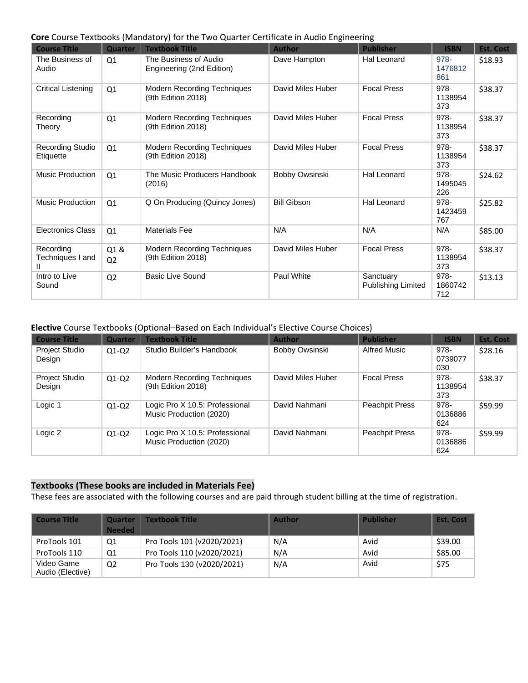## **Core** Course Textbooks (Mandatory) for the Two Quarter Certificate in Audio Engineering

| <b>Course Title</b>                  | Quarter               | <b>Textbook Title</b>                                    | <b>Author</b>      | <b>Publisher</b>                | <b>ISBN</b>            | <b>Est. Cost</b> |
|--------------------------------------|-----------------------|----------------------------------------------------------|--------------------|---------------------------------|------------------------|------------------|
| The Business of<br>Audio             | Q1                    | The Business of Audio<br>Engineering (2nd Edition)       | Dave Hampton       | <b>Hal Leonard</b>              | 978-<br>1476812<br>861 | \$18.93          |
| Critical Listening                   | Q1                    | <b>Modern Recording Techniques</b><br>(9th Edition 2018) | David Miles Huber  | <b>Focal Press</b>              | 978-<br>1138954<br>373 | \$38.37          |
| Recording<br>Theory                  | Q1                    | <b>Modern Recording Techniques</b><br>(9th Edition 2018) | David Miles Huber  | <b>Focal Press</b>              | 978-<br>1138954<br>373 | \$38.37          |
| <b>Recording Studio</b><br>Etiquette | Q1                    | Modern Recording Techniques<br>(9th Edition 2018)        | David Miles Huber  | <b>Focal Press</b>              | 978-<br>1138954<br>373 | \$38.37          |
| Music Production                     | Q1                    | The Music Producers Handbook<br>(2016)                   | Bobby Owsinski     | Hal Leonard                     | 978-<br>1495045<br>226 | \$24.62          |
| Music Production                     | Q1                    | Q On Producing (Quincy Jones)                            | <b>Bill Gibson</b> | Hal Leonard                     | 978-<br>1423459<br>767 | \$25.82          |
| <b>Electronics Class</b>             | Q <sub>1</sub>        | <b>Materials Fee</b>                                     | N/A                | N/A                             | N/A                    | \$85.00          |
| Recording<br>Techniques I and        | Q1&<br>Q <sub>2</sub> | <b>Modern Recording Techniques</b><br>(9th Edition 2018) | David Miles Huber  | <b>Focal Press</b>              | 978-<br>1138954<br>373 | \$38.37          |
| Intro to Live<br>Sound               | Q <sub>2</sub>        | <b>Basic Live Sound</b>                                  | Paul White         | Sanctuary<br>Publishing Limited | 978-<br>1860742<br>712 | \$13.13          |

## **Elective** Course Textbooks (Optional–Based on Each Individual's Elective Course Choices)

| <b>Course Title</b>      | Quarter | <b>Textbook Title</b>                                     | <b>Author</b>     | <b>Publisher</b>      | <b>ISBN</b>            | <b>Est. Cost</b> |
|--------------------------|---------|-----------------------------------------------------------|-------------------|-----------------------|------------------------|------------------|
| Project Studio<br>Design | $Q1-Q2$ | Studio Builder's Handbook                                 | Bobby Owsinski    | <b>Alfred Music</b>   | 978-<br>0739077<br>030 | \$28.16          |
| Project Studio<br>Design | $Q1-Q2$ | <b>Modern Recording Techniques</b><br>(9th Edition 2018)  | David Miles Huber | <b>Focal Press</b>    | 978-<br>1138954<br>373 | \$38.37          |
| Logic 1                  | $Q1-Q2$ | Logic Pro X 10.5: Professional<br>Music Production (2020) | David Nahmani     | <b>Peachpit Press</b> | 978-<br>0136886<br>624 | \$59.99          |
| Logic 2                  | $Q1-Q2$ | Logic Pro X 10.5: Professional<br>Music Production (2020) | David Nahmani     | <b>Peachpit Press</b> | 978-<br>0136886<br>624 | \$59.99          |

## **Textbooks (These books are included in Materials Fee)**

These fees are associated with the following courses and are paid through student billing at the time of registration.

| Course Title                   | <b>Quarter</b><br><b>Needed</b> | Textbook Title             | <b>Author</b> | <b>Publisher</b> | <b>Est. Cost</b> |
|--------------------------------|---------------------------------|----------------------------|---------------|------------------|------------------|
| ProTools 101                   | Q1                              | Pro Tools 101 (v2020/2021) | N/A           | Avid             | \$39.00          |
| ProTools 110                   | Q1                              | Pro Tools 110 (v2020/2021) | N/A           | Avid             | \$85.00          |
| Video Game<br>Audio (Elective) | Q <sub>2</sub>                  | Pro Tools 130 (v2020/2021) | N/A           | Avid             | \$75             |